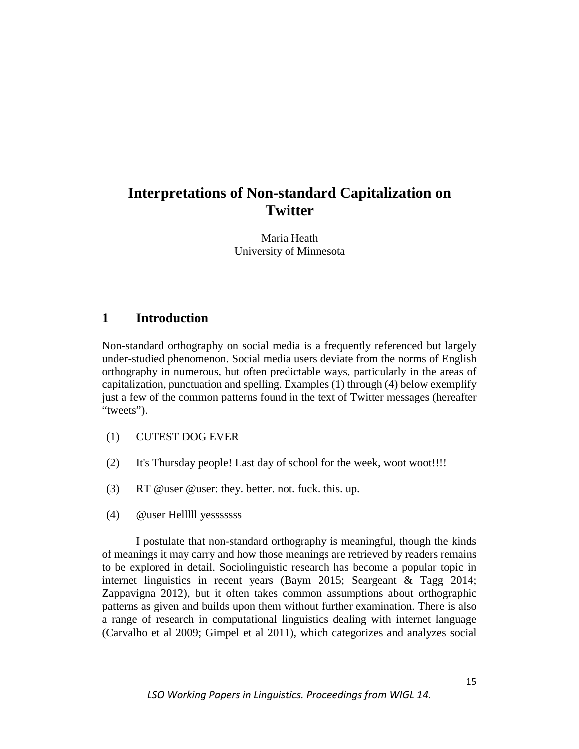# **Interpretations of Non-standard Capitalization on Twitter**

Maria Heath University of Minnesota

# **1 Introduction**

Non-standard orthography on social media is a frequently referenced but largely under-studied phenomenon. Social media users deviate from the norms of English orthography in numerous, but often predictable ways, particularly in the areas of capitalization, punctuation and spelling. Examples (1) through (4) below exemplify just a few of the common patterns found in the text of Twitter messages (hereafter "tweets").

- (1) CUTEST DOG EVER
- (2) It's Thursday people! Last day of school for the week, woot woot!!!!
- (3) RT @user @user: they. better. not. fuck. this. up.
- (4) @user Helllll yesssssss

I postulate that non-standard orthography is meaningful, though the kinds of meanings it may carry and how those meanings are retrieved by readers remains to be explored in detail. Sociolinguistic research has become a popular topic in internet linguistics in recent years (Baym 2015; Seargeant & Tagg 2014; Zappavigna 2012), but it often takes common assumptions about orthographic patterns as given and builds upon them without further examination. There is also a range of research in computational linguistics dealing with internet language (Carvalho et al 2009; Gimpel et al 2011), which categorizes and analyzes social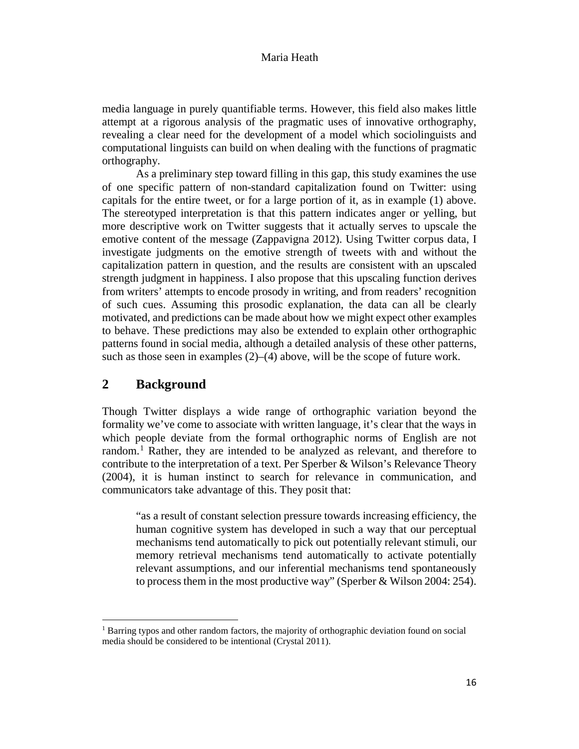media language in purely quantifiable terms. However, this field also makes little attempt at a rigorous analysis of the pragmatic uses of innovative orthography, revealing a clear need for the development of a model which sociolinguists and computational linguists can build on when dealing with the functions of pragmatic orthography.

As a preliminary step toward filling in this gap, this study examines the use of one specific pattern of non-standard capitalization found on Twitter: using capitals for the entire tweet, or for a large portion of it, as in example (1) above. The stereotyped interpretation is that this pattern indicates anger or yelling, but more descriptive work on Twitter suggests that it actually serves to upscale the emotive content of the message (Zappavigna 2012). Using Twitter corpus data, I investigate judgments on the emotive strength of tweets with and without the capitalization pattern in question, and the results are consistent with an upscaled strength judgment in happiness. I also propose that this upscaling function derives from writers' attempts to encode prosody in writing, and from readers' recognition of such cues. Assuming this prosodic explanation, the data can all be clearly motivated, and predictions can be made about how we might expect other examples to behave. These predictions may also be extended to explain other orthographic patterns found in social media, although a detailed analysis of these other patterns, such as those seen in examples  $(2)$ – $(4)$  above, will be the scope of future work.

# **2 Background**

l

Though Twitter displays a wide range of orthographic variation beyond the formality we've come to associate with written language, it's clear that the ways in which people deviate from the formal orthographic norms of English are not random. [1](#page-1-0) Rather, they are intended to be analyzed as relevant, and therefore to contribute to the interpretation of a text. Per Sperber & Wilson's Relevance Theory (2004), it is human instinct to search for relevance in communication, and communicators take advantage of this. They posit that:

"as a result of constant selection pressure towards increasing efficiency, the human cognitive system has developed in such a way that our perceptual mechanisms tend automatically to pick out potentially relevant stimuli, our memory retrieval mechanisms tend automatically to activate potentially relevant assumptions, and our inferential mechanisms tend spontaneously to process them in the most productive way" (Sperber & Wilson 2004: 254).

<span id="page-1-0"></span> $<sup>1</sup>$  Barring typos and other random factors, the majority of orthographic deviation found on social</sup> media should be considered to be intentional (Crystal 2011).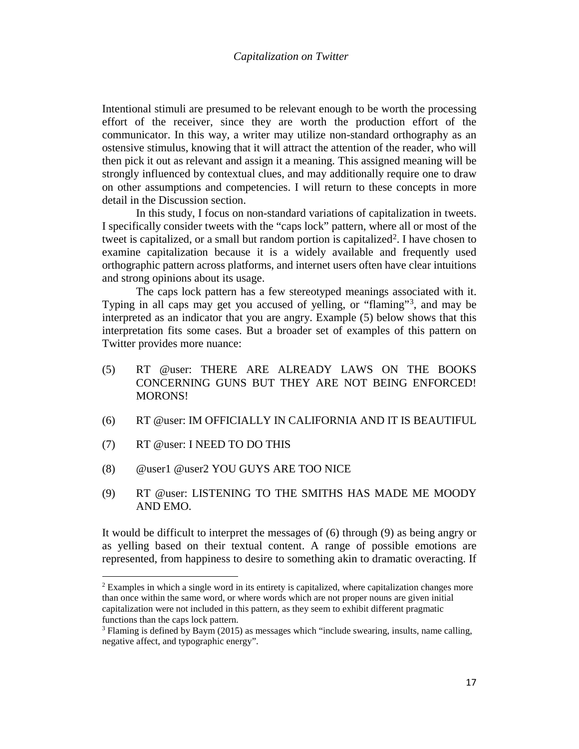Intentional stimuli are presumed to be relevant enough to be worth the processing effort of the receiver, since they are worth the production effort of the communicator. In this way, a writer may utilize non-standard orthography as an ostensive stimulus, knowing that it will attract the attention of the reader, who will then pick it out as relevant and assign it a meaning. This assigned meaning will be strongly influenced by contextual clues, and may additionally require one to draw on other assumptions and competencies. I will return to these concepts in more detail in the Discussion section.

In this study, I focus on non-standard variations of capitalization in tweets. I specifically consider tweets with the "caps lock" pattern, where all or most of the tweet is capitalized, or a small but random portion is capitalized<sup>2</sup>. I have chosen to examine capitalization because it is a widely available and frequently used orthographic pattern across platforms, and internet users often have clear intuitions and strong opinions about its usage.

The caps lock pattern has a few stereotyped meanings associated with it. Typing in all caps may get you accused of yelling, or "flaming"[3,](#page-2-1) and may be interpreted as an indicator that you are angry. Example (5) below shows that this interpretation fits some cases. But a broader set of examples of this pattern on Twitter provides more nuance:

- (5) RT @user: THERE ARE ALREADY LAWS ON THE BOOKS CONCERNING GUNS BUT THEY ARE NOT BEING ENFORCED! MORONS!
- (6) RT @user: IM OFFICIALLY IN CALIFORNIA AND IT IS BEAUTIFUL
- (7) RT @user: I NEED TO DO THIS

 $\overline{a}$ 

- (8) @user1 @user2 YOU GUYS ARE TOO NICE
- (9) RT @user: LISTENING TO THE SMITHS HAS MADE ME MOODY AND EMO.

It would be difficult to interpret the messages of (6) through (9) as being angry or as yelling based on their textual content. A range of possible emotions are represented, from happiness to desire to something akin to dramatic overacting. If

<span id="page-2-0"></span> $2$  Examples in which a single word in its entirety is capitalized, where capitalization changes more than once within the same word, or where words which are not proper nouns are given initial capitalization were not included in this pattern, as they seem to exhibit different pragmatic functions than the caps lock pattern.

<span id="page-2-1"></span><sup>&</sup>lt;sup>3</sup> Flaming is defined by Baym (2015) as messages which "include swearing, insults, name calling, negative affect, and typographic energy".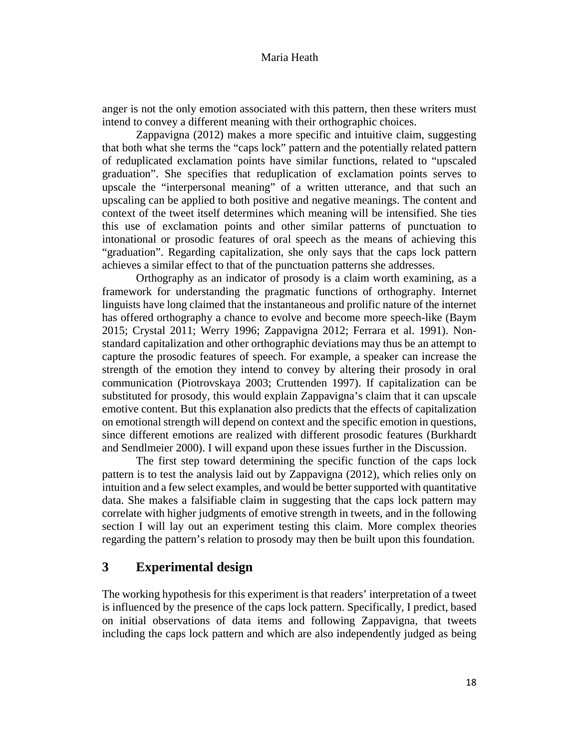anger is not the only emotion associated with this pattern, then these writers must intend to convey a different meaning with their orthographic choices.

 Zappavigna (2012) makes a more specific and intuitive claim, suggesting that both what she terms the "caps lock" pattern and the potentially related pattern of reduplicated exclamation points have similar functions, related to "upscaled graduation". She specifies that reduplication of exclamation points serves to upscale the "interpersonal meaning" of a written utterance, and that such an upscaling can be applied to both positive and negative meanings. The content and context of the tweet itself determines which meaning will be intensified. She ties this use of exclamation points and other similar patterns of punctuation to intonational or prosodic features of oral speech as the means of achieving this "graduation". Regarding capitalization, she only says that the caps lock pattern achieves a similar effect to that of the punctuation patterns she addresses.

Orthography as an indicator of prosody is a claim worth examining, as a framework for understanding the pragmatic functions of orthography. Internet linguists have long claimed that the instantaneous and prolific nature of the internet has offered orthography a chance to evolve and become more speech-like (Baym 2015; Crystal 2011; Werry 1996; Zappavigna 2012; Ferrara et al. 1991). Nonstandard capitalization and other orthographic deviations may thus be an attempt to capture the prosodic features of speech. For example, a speaker can increase the strength of the emotion they intend to convey by altering their prosody in oral communication (Piotrovskaya 2003; Cruttenden 1997). If capitalization can be substituted for prosody, this would explain Zappavigna's claim that it can upscale emotive content. But this explanation also predicts that the effects of capitalization on emotional strength will depend on context and the specific emotion in questions, since different emotions are realized with different prosodic features (Burkhardt and Sendlmeier 2000). I will expand upon these issues further in the Discussion.

The first step toward determining the specific function of the caps lock pattern is to test the analysis laid out by Zappavigna (2012), which relies only on intuition and a few select examples, and would be better supported with quantitative data. She makes a falsifiable claim in suggesting that the caps lock pattern may correlate with higher judgments of emotive strength in tweets, and in the following section I will lay out an experiment testing this claim. More complex theories regarding the pattern's relation to prosody may then be built upon this foundation.

# **3 Experimental design**

The working hypothesis for this experiment is that readers' interpretation of a tweet is influenced by the presence of the caps lock pattern. Specifically, I predict, based on initial observations of data items and following Zappavigna, that tweets including the caps lock pattern and which are also independently judged as being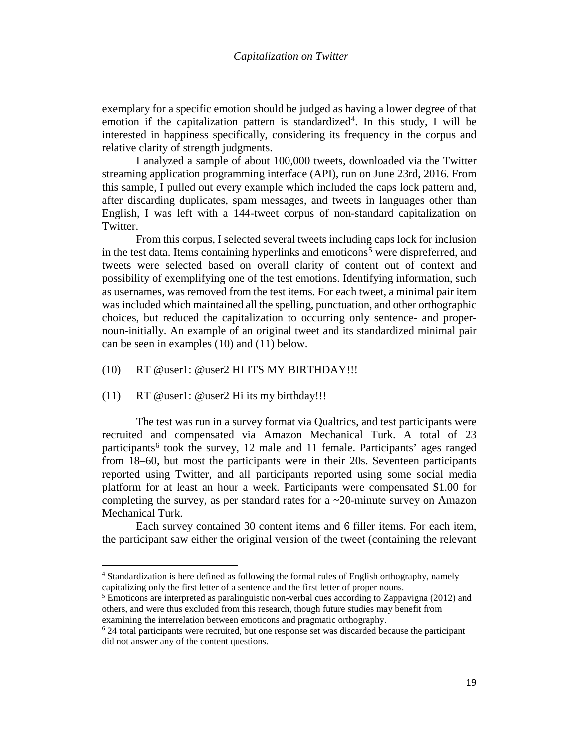exemplary for a specific emotion should be judged as having a lower degree of that emotion if the capitalization pattern is standardized<sup>4</sup>. In this study, I will be interested in happiness specifically, considering its frequency in the corpus and relative clarity of strength judgments.

I analyzed a sample of about 100,000 tweets, downloaded via the Twitter streaming application programming interface (API), run on June 23rd, 2016. From this sample, I pulled out every example which included the caps lock pattern and, after discarding duplicates, spam messages, and tweets in languages other than English, I was left with a 144-tweet corpus of non-standard capitalization on Twitter.

From this corpus, I selected several tweets including caps lock for inclusion in the test data. Items containing hyperlinks and emoticons<sup>[5](#page-4-1)</sup> were dispreferred, and tweets were selected based on overall clarity of content out of context and possibility of exemplifying one of the test emotions. Identifying information, such as usernames, was removed from the test items. For each tweet, a minimal pair item was included which maintained all the spelling, punctuation, and other orthographic choices, but reduced the capitalization to occurring only sentence- and propernoun-initially. An example of an original tweet and its standardized minimal pair can be seen in examples (10) and (11) below.

(10) RT @user1: @user2 HI ITS MY BIRTHDAY!!!

(11) RT @user1: @user2 Hi its my birthday!!!

l

The test was run in a survey format via Qualtrics, and test participants were recruited and compensated via Amazon Mechanical Turk. A total of 23 participants<sup>[6](#page-4-2)</sup> took the survey, 12 male and 11 female. Participants' ages ranged from 18–60, but most the participants were in their 20s. Seventeen participants reported using Twitter, and all participants reported using some social media platform for at least an hour a week. Participants were compensated \$1.00 for completing the survey, as per standard rates for a ~20-minute survey on Amazon Mechanical Turk.

Each survey contained 30 content items and 6 filler items. For each item, the participant saw either the original version of the tweet (containing the relevant

<span id="page-4-0"></span><sup>4</sup> Standardization is here defined as following the formal rules of English orthography, namely capitalizing only the first letter of a sentence and the first letter of proper nouns. 5 Emoticons are interpreted as paralinguistic non-verbal cues according to Zappavigna (2012) and

<span id="page-4-1"></span>others, and were thus excluded from this research, though future studies may benefit from examining the interrelation between emoticons and pragmatic orthography.

<span id="page-4-2"></span> $6$  24 total participants were recruited, but one response set was discarded because the participant did not answer any of the content questions.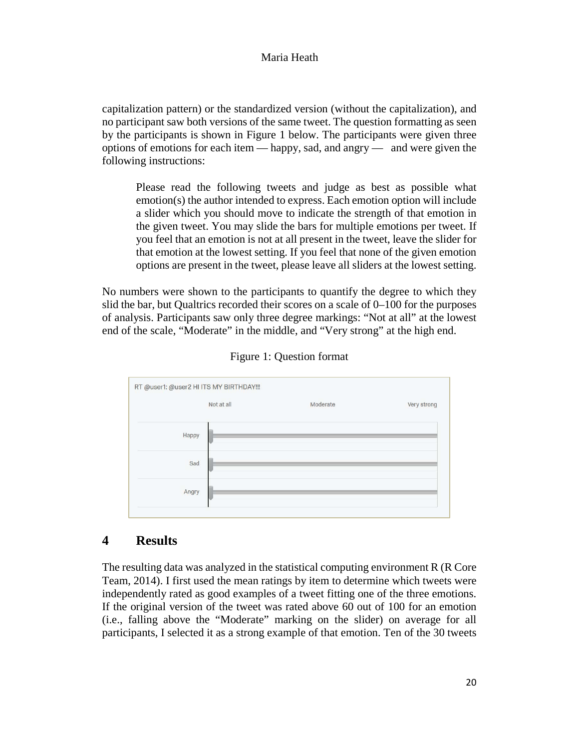capitalization pattern) or the standardized version (without the capitalization), and no participant saw both versions of the same tweet. The question formatting as seen by the participants is shown in Figure 1 below. The participants were given three options of emotions for each item — happy, sad, and angry — and were given the following instructions:

Please read the following tweets and judge as best as possible what emotion(s) the author intended to express. Each emotion option will include a slider which you should move to indicate the strength of that emotion in the given tweet. You may slide the bars for multiple emotions per tweet. If you feel that an emotion is not at all present in the tweet, leave the slider for that emotion at the lowest setting. If you feel that none of the given emotion options are present in the tweet, please leave all sliders at the lowest setting.

No numbers were shown to the participants to quantify the degree to which they slid the bar, but Qualtrics recorded their scores on a scale of 0–100 for the purposes of analysis. Participants saw only three degree markings: "Not at all" at the lowest end of the scale, "Moderate" in the middle, and "Very strong" at the high end.

|       | Not at all | Moderate | Very strong |
|-------|------------|----------|-------------|
| Happy |            |          |             |
| Sad   |            |          |             |
| Angry |            |          |             |

Figure 1: Question format

# **4 Results**

The resulting data was analyzed in the statistical computing environment R (R Core Team, 2014). I first used the mean ratings by item to determine which tweets were independently rated as good examples of a tweet fitting one of the three emotions. If the original version of the tweet was rated above 60 out of 100 for an emotion (i.e., falling above the "Moderate" marking on the slider) on average for all participants, I selected it as a strong example of that emotion. Ten of the 30 tweets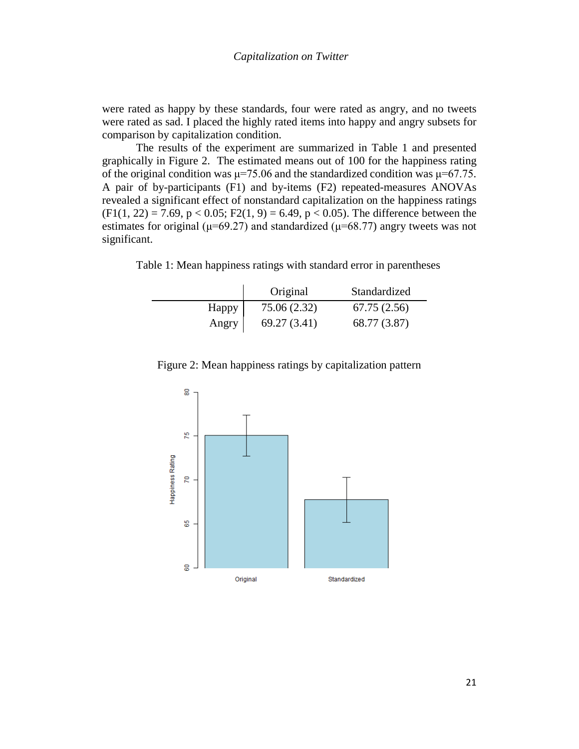were rated as happy by these standards, four were rated as angry, and no tweets were rated as sad. I placed the highly rated items into happy and angry subsets for comparison by capitalization condition.

The results of the experiment are summarized in Table 1 and presented graphically in Figure 2. The estimated means out of 100 for the happiness rating of the original condition was  $\mu$ =75.06 and the standardized condition was  $\mu$ =67.75. A pair of by-participants (F1) and by-items (F2) repeated-measures ANOVAs revealed a significant effect of nonstandard capitalization on the happiness ratings  $(F1(1, 22) = 7.69, p < 0.05; F2(1, 9) = 6.49, p < 0.05$ . The difference between the estimates for original ( $\mu$ =69.27) and standardized ( $\mu$ =68.77) angry tweets was not significant.

Table 1: Mean happiness ratings with standard error in parentheses

|       | Original     | Standardized |
|-------|--------------|--------------|
| Happy | 75.06 (2.32) | 67.75(2.56)  |
| Angry | 69.27 (3.41) | 68.77 (3.87) |



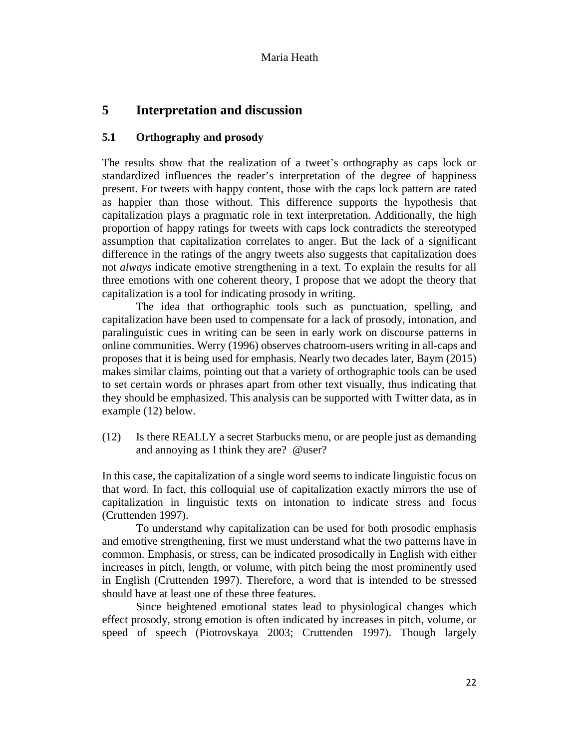# **5 Interpretation and discussion**

# **5.1 Orthography and prosody**

The results show that the realization of a tweet's orthography as caps lock or standardized influences the reader's interpretation of the degree of happiness present. For tweets with happy content, those with the caps lock pattern are rated as happier than those without. This difference supports the hypothesis that capitalization plays a pragmatic role in text interpretation. Additionally, the high proportion of happy ratings for tweets with caps lock contradicts the stereotyped assumption that capitalization correlates to anger. But the lack of a significant difference in the ratings of the angry tweets also suggests that capitalization does not *always* indicate emotive strengthening in a text. To explain the results for all three emotions with one coherent theory, I propose that we adopt the theory that capitalization is a tool for indicating prosody in writing.

The idea that orthographic tools such as punctuation, spelling, and capitalization have been used to compensate for a lack of prosody, intonation, and paralinguistic cues in writing can be seen in early work on discourse patterns in online communities. Werry (1996) observes chatroom-users writing in all-caps and proposes that it is being used for emphasis. Nearly two decades later, Baym (2015) makes similar claims, pointing out that a variety of orthographic tools can be used to set certain words or phrases apart from other text visually, thus indicating that they should be emphasized. This analysis can be supported with Twitter data, as in example (12) below.

(12) Is there REALLY a secret Starbucks menu, or are people just as demanding and annoying as I think they are? @user?

In this case, the capitalization of a single word seems to indicate linguistic focus on that word. In fact, this colloquial use of capitalization exactly mirrors the use of capitalization in linguistic texts on intonation to indicate stress and focus (Cruttenden 1997).

To understand why capitalization can be used for both prosodic emphasis and emotive strengthening, first we must understand what the two patterns have in common. Emphasis, or stress, can be indicated prosodically in English with either increases in pitch, length, or volume, with pitch being the most prominently used in English (Cruttenden 1997). Therefore, a word that is intended to be stressed should have at least one of these three features.

Since heightened emotional states lead to physiological changes which effect prosody, strong emotion is often indicated by increases in pitch, volume, or speed of speech (Piotrovskaya 2003; Cruttenden 1997). Though largely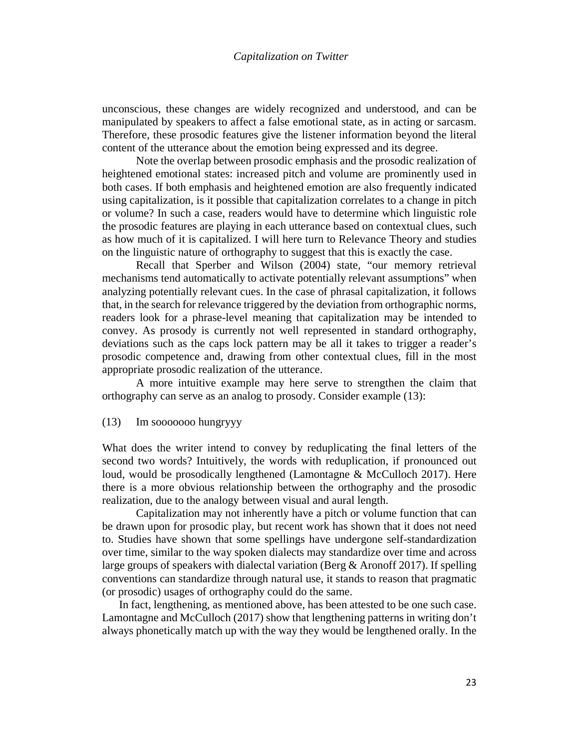unconscious, these changes are widely recognized and understood, and can be manipulated by speakers to affect a false emotional state, as in acting or sarcasm. Therefore, these prosodic features give the listener information beyond the literal content of the utterance about the emotion being expressed and its degree.

Note the overlap between prosodic emphasis and the prosodic realization of heightened emotional states: increased pitch and volume are prominently used in both cases. If both emphasis and heightened emotion are also frequently indicated using capitalization, is it possible that capitalization correlates to a change in pitch or volume? In such a case, readers would have to determine which linguistic role the prosodic features are playing in each utterance based on contextual clues, such as how much of it is capitalized. I will here turn to Relevance Theory and studies on the linguistic nature of orthography to suggest that this is exactly the case.

Recall that Sperber and Wilson (2004) state, "our memory retrieval mechanisms tend automatically to activate potentially relevant assumptions" when analyzing potentially relevant cues. In the case of phrasal capitalization, it follows that, in the search for relevance triggered by the deviation from orthographic norms, readers look for a phrase-level meaning that capitalization may be intended to convey. As prosody is currently not well represented in standard orthography, deviations such as the caps lock pattern may be all it takes to trigger a reader's prosodic competence and, drawing from other contextual clues, fill in the most appropriate prosodic realization of the utterance.

A more intuitive example may here serve to strengthen the claim that orthography can serve as an analog to prosody. Consider example (13):

#### (13) Im sooooooo hungryyy

What does the writer intend to convey by reduplicating the final letters of the second two words? Intuitively, the words with reduplication, if pronounced out loud, would be prosodically lengthened (Lamontagne & McCulloch 2017). Here there is a more obvious relationship between the orthography and the prosodic realization, due to the analogy between visual and aural length.

Capitalization may not inherently have a pitch or volume function that can be drawn upon for prosodic play, but recent work has shown that it does not need to. Studies have shown that some spellings have undergone self-standardization over time, similar to the way spoken dialects may standardize over time and across large groups of speakers with dialectal variation (Berg & Aronoff 2017). If spelling conventions can standardize through natural use, it stands to reason that pragmatic (or prosodic) usages of orthography could do the same.

In fact, lengthening, as mentioned above, has been attested to be one such case. Lamontagne and McCulloch (2017) show that lengthening patterns in writing don't always phonetically match up with the way they would be lengthened orally. In the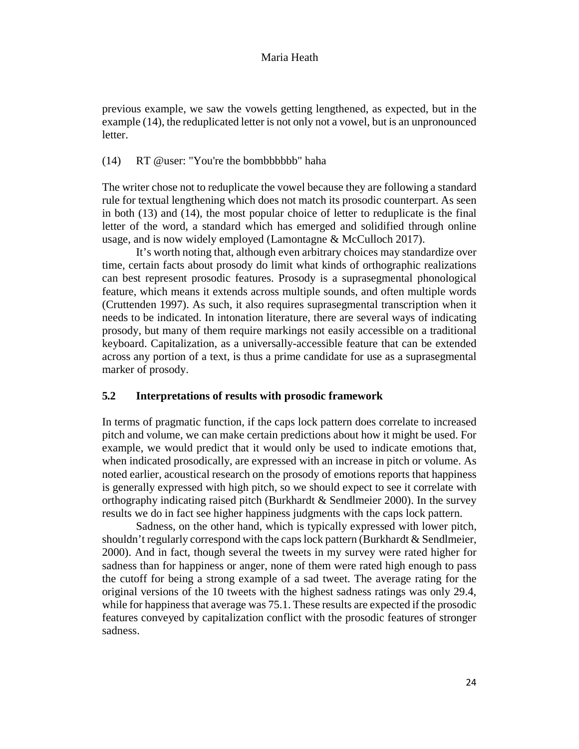previous example, we saw the vowels getting lengthened, as expected, but in the example (14), the reduplicated letter is not only not a vowel, but is an unpronounced letter.

## (14) RT @user: "You're the bombbbbbb" haha

The writer chose not to reduplicate the vowel because they are following a standard rule for textual lengthening which does not match its prosodic counterpart. As seen in both (13) and (14), the most popular choice of letter to reduplicate is the final letter of the word, a standard which has emerged and solidified through online usage, and is now widely employed (Lamontagne & McCulloch 2017).

It's worth noting that, although even arbitrary choices may standardize over time, certain facts about prosody do limit what kinds of orthographic realizations can best represent prosodic features. Prosody is a suprasegmental phonological feature, which means it extends across multiple sounds, and often multiple words (Cruttenden 1997). As such, it also requires suprasegmental transcription when it needs to be indicated. In intonation literature, there are several ways of indicating prosody, but many of them require markings not easily accessible on a traditional keyboard. Capitalization, as a universally-accessible feature that can be extended across any portion of a text, is thus a prime candidate for use as a suprasegmental marker of prosody.

#### **5.2 Interpretations of results with prosodic framework**

In terms of pragmatic function, if the caps lock pattern does correlate to increased pitch and volume, we can make certain predictions about how it might be used. For example, we would predict that it would only be used to indicate emotions that, when indicated prosodically, are expressed with an increase in pitch or volume. As noted earlier, acoustical research on the prosody of emotions reports that happiness is generally expressed with high pitch, so we should expect to see it correlate with orthography indicating raised pitch (Burkhardt & Sendlmeier 2000). In the survey results we do in fact see higher happiness judgments with the caps lock pattern.

Sadness, on the other hand, which is typically expressed with lower pitch, shouldn't regularly correspond with the caps lock pattern (Burkhardt & Sendlmeier, 2000). And in fact, though several the tweets in my survey were rated higher for sadness than for happiness or anger, none of them were rated high enough to pass the cutoff for being a strong example of a sad tweet. The average rating for the original versions of the 10 tweets with the highest sadness ratings was only 29.4, while for happiness that average was 75.1. These results are expected if the prosodic features conveyed by capitalization conflict with the prosodic features of stronger sadness.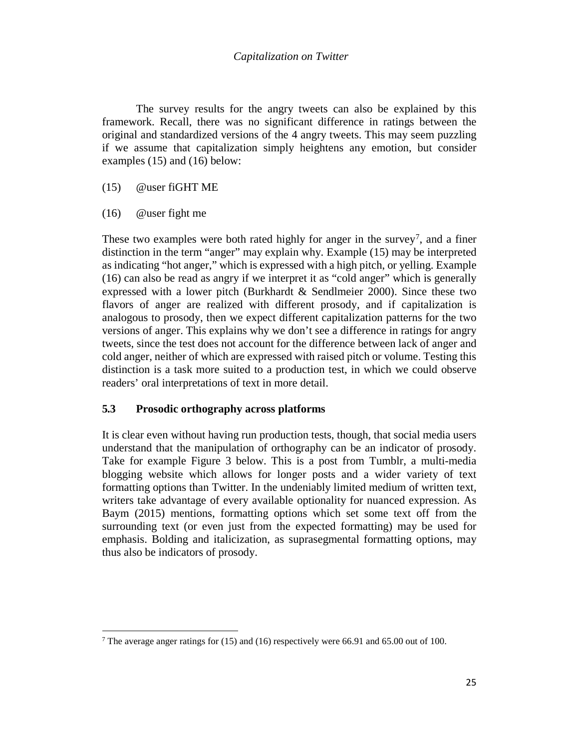## *Capitalization on Twitter*

The survey results for the angry tweets can also be explained by this framework. Recall, there was no significant difference in ratings between the original and standardized versions of the 4 angry tweets. This may seem puzzling if we assume that capitalization simply heightens any emotion, but consider examples (15) and (16) below:

### (15) @user fiGHT ME

(16) @user fight me

l

These two examples were both rated highly for anger in the survey<sup>7</sup>, and a finer distinction in the term "anger" may explain why. Example (15) may be interpreted as indicating "hot anger," which is expressed with a high pitch, or yelling. Example (16) can also be read as angry if we interpret it as "cold anger" which is generally expressed with a lower pitch (Burkhardt & Sendlmeier 2000). Since these two flavors of anger are realized with different prosody, and if capitalization is analogous to prosody, then we expect different capitalization patterns for the two versions of anger. This explains why we don't see a difference in ratings for angry tweets, since the test does not account for the difference between lack of anger and cold anger, neither of which are expressed with raised pitch or volume. Testing this distinction is a task more suited to a production test, in which we could observe readers' oral interpretations of text in more detail.

## **5.3 Prosodic orthography across platforms**

It is clear even without having run production tests, though, that social media users understand that the manipulation of orthography can be an indicator of prosody. Take for example Figure 3 below. This is a post from Tumblr, a multi-media blogging website which allows for longer posts and a wider variety of text formatting options than Twitter. In the undeniably limited medium of written text, writers take advantage of every available optionality for nuanced expression. As Baym (2015) mentions, formatting options which set some text off from the surrounding text (or even just from the expected formatting) may be used for emphasis. Bolding and italicization, as suprasegmental formatting options, may thus also be indicators of prosody.

<span id="page-10-0"></span><sup>&</sup>lt;sup>7</sup> The average anger ratings for (15) and (16) respectively were 66.91 and 65.00 out of 100.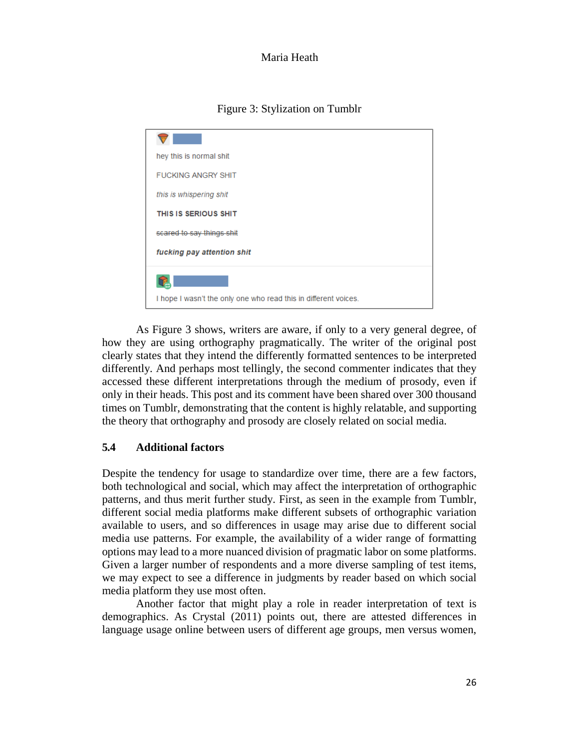Figure 3: Stylization on Tumblr

| hey this is normal shit                                         |
|-----------------------------------------------------------------|
| <b>FUCKING ANGRY SHIT</b>                                       |
| this is whispering shit                                         |
| THIS IS SERIOUS SHIT                                            |
| scared to say things shit                                       |
| fucking pay attention shit                                      |
|                                                                 |
| I hope I wasn't the only one who read this in different voices. |

As Figure 3 shows, writers are aware, if only to a very general degree, of how they are using orthography pragmatically. The writer of the original post clearly states that they intend the differently formatted sentences to be interpreted differently. And perhaps most tellingly, the second commenter indicates that they accessed these different interpretations through the medium of prosody, even if only in their heads. This post and its comment have been shared over 300 thousand times on Tumblr, demonstrating that the content is highly relatable, and supporting the theory that orthography and prosody are closely related on social media.

# **5.4 Additional factors**

Despite the tendency for usage to standardize over time, there are a few factors, both technological and social, which may affect the interpretation of orthographic patterns, and thus merit further study. First, as seen in the example from Tumblr, different social media platforms make different subsets of orthographic variation available to users, and so differences in usage may arise due to different social media use patterns. For example, the availability of a wider range of formatting options may lead to a more nuanced division of pragmatic labor on some platforms. Given a larger number of respondents and a more diverse sampling of test items, we may expect to see a difference in judgments by reader based on which social media platform they use most often.

Another factor that might play a role in reader interpretation of text is demographics. As Crystal (2011) points out, there are attested differences in language usage online between users of different age groups, men versus women,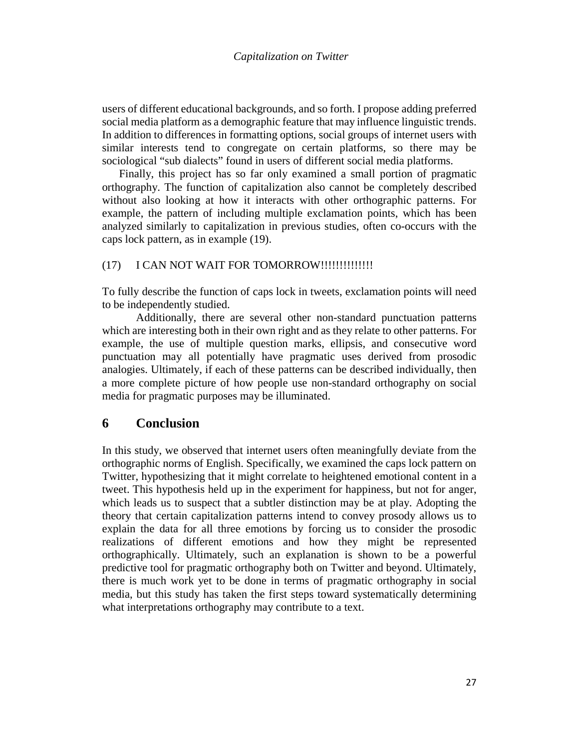users of different educational backgrounds, and so forth. I propose adding preferred social media platform as a demographic feature that may influence linguistic trends. In addition to differences in formatting options, social groups of internet users with similar interests tend to congregate on certain platforms, so there may be sociological "sub dialects" found in users of different social media platforms.

Finally, this project has so far only examined a small portion of pragmatic orthography. The function of capitalization also cannot be completely described without also looking at how it interacts with other orthographic patterns. For example, the pattern of including multiple exclamation points, which has been analyzed similarly to capitalization in previous studies, often co-occurs with the caps lock pattern, as in example (19).

## (17) I CAN NOT WAIT FOR TOMORROW!!!!!!!!!!!!!!!

To fully describe the function of caps lock in tweets, exclamation points will need to be independently studied.

Additionally, there are several other non-standard punctuation patterns which are interesting both in their own right and as they relate to other patterns. For example, the use of multiple question marks, ellipsis, and consecutive word punctuation may all potentially have pragmatic uses derived from prosodic analogies. Ultimately, if each of these patterns can be described individually, then a more complete picture of how people use non-standard orthography on social media for pragmatic purposes may be illuminated.

# **6 Conclusion**

In this study, we observed that internet users often meaningfully deviate from the orthographic norms of English. Specifically, we examined the caps lock pattern on Twitter, hypothesizing that it might correlate to heightened emotional content in a tweet. This hypothesis held up in the experiment for happiness, but not for anger, which leads us to suspect that a subtler distinction may be at play. Adopting the theory that certain capitalization patterns intend to convey prosody allows us to explain the data for all three emotions by forcing us to consider the prosodic realizations of different emotions and how they might be represented orthographically. Ultimately, such an explanation is shown to be a powerful predictive tool for pragmatic orthography both on Twitter and beyond. Ultimately, there is much work yet to be done in terms of pragmatic orthography in social media, but this study has taken the first steps toward systematically determining what interpretations orthography may contribute to a text.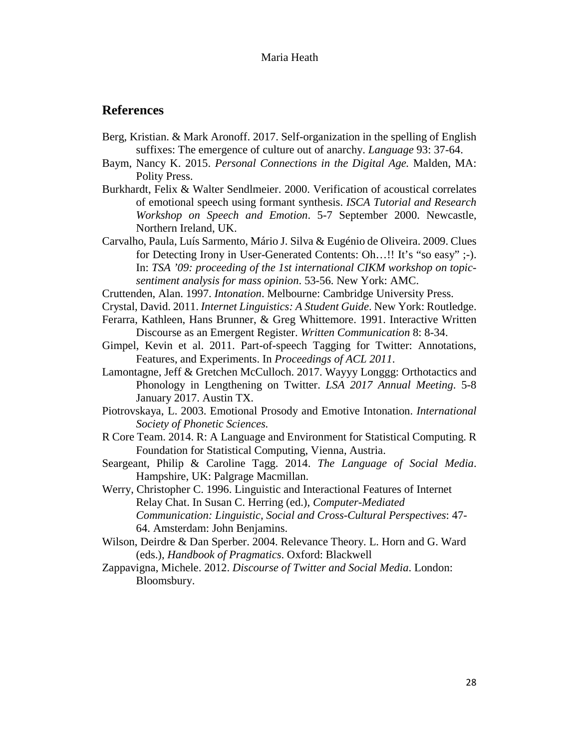## **References**

- Berg, Kristian. & Mark Aronoff. 2017. Self-organization in the spelling of English suffixes: The emergence of culture out of anarchy. *Language* 93: 37-64.
- Baym, Nancy K. 2015. *Personal Connections in the Digital Age.* Malden, MA: Polity Press.
- Burkhardt, Felix & Walter Sendlmeier. 2000. Verification of acoustical correlates of emotional speech using formant synthesis. *ISCA Tutorial and Research Workshop on Speech and Emotion*. 5-7 September 2000. Newcastle, Northern Ireland, UK.
- Carvalho, Paula, Luís Sarmento, Mário J. Silva & Eugénio de Oliveira. 2009. Clues for Detecting Irony in User-Generated Contents: Oh…!! It's "so easy" ;-). In: *TSA '09: proceeding of the 1st international CIKM workshop on topicsentiment analysis for mass opinion*. 53-56. New York: AMC.
- Cruttenden, Alan. 1997. *Intonation*. Melbourne: Cambridge University Press.
- Crystal, David. 2011. *Internet Linguistics: A Student Guide*. New York: Routledge.
- Ferarra, Kathleen, Hans Brunner, & Greg Whittemore. 1991. Interactive Written Discourse as an Emergent Register. *Written Communication* 8: 8-34.
- Gimpel, Kevin et al. 2011. Part-of-speech Tagging for Twitter: Annotations, Features, and Experiments. In *Proceedings of ACL 2011*.
- Lamontagne, Jeff & Gretchen McCulloch. 2017. Wayyy Longgg: Orthotactics and Phonology in Lengthening on Twitter. *LSA 2017 Annual Meeting*. 5-8 January 2017. Austin TX.
- Piotrovskaya, L. 2003. Emotional Prosody and Emotive Intonation. *International Society of Phonetic Sciences.*
- R Core Team. 2014. R: A Language and Environment for Statistical Computing. R Foundation for Statistical Computing, Vienna, Austria.
- Seargeant, Philip & Caroline Tagg. 2014. *The Language of Social Media*. Hampshire, UK: Palgrage Macmillan.
- Werry, Christopher C. 1996. Linguistic and Interactional Features of Internet Relay Chat. In Susan C. Herring (ed.), *Computer-Mediated Communication: Linguistic, Social and Cross-Cultural Perspectives*: 47- 64. Amsterdam: John Benjamins.
- Wilson, Deirdre & Dan Sperber. 2004. Relevance Theory. L. Horn and G. Ward (eds.), *Handbook of Pragmatics*. Oxford: Blackwell
- Zappavigna, Michele. 2012. *Discourse of Twitter and Social Media*. London: Bloomsbury.